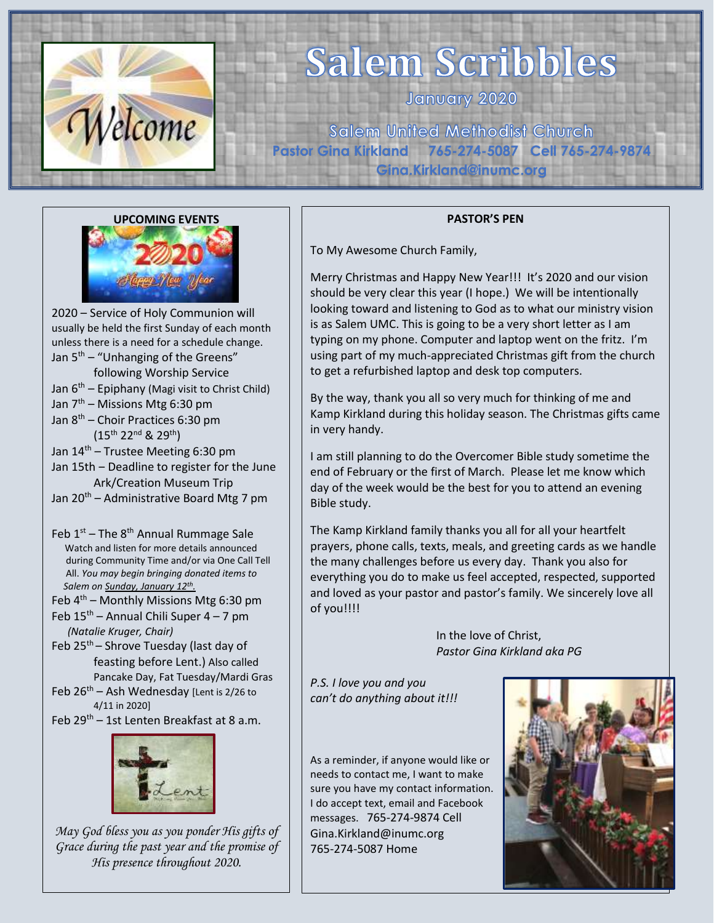

# **Salem Scribbles**

January 2020

**Salem United Methodist Church Pastor Gina Kirkland 765-274-5087 Cell 765-274-9874 Gina.Kirkland@inumc.org** 



2020 – Service of Holy Communion will usually be held the first Sunday of each month unless there is a need for a schedule change. Jan  $5<sup>th</sup>$  – "Unhanging of the Greens" following Worship Service Jan  $6<sup>th</sup>$  – Epiphany (Magi visit to Christ Child) Jan 7<sup>th</sup> – Missions Mtg 6:30 pm Jan 8 th – Choir Practices 6:30 pm (15th 22nd & 29th) Jan 14 th – Trustee Meeting 6:30 pm Jan 15th - Deadline to register for the June Ark/Creation Museum Trip Jan 20<sup>th</sup> – Administrative Board Mtg 7 pm

Feb 1<sup>st</sup> – The 8<sup>th</sup> Annual Rummage Sale Watch and listen for more details announced during Community Time and/or via One Call Tell All. *You may begin bringing donated items to Salem on Sunday, January 12 th .*

Feb 4<sup>th</sup> – Monthly Missions Mtg 6:30 pm

- Feb 15<sup>th</sup> Annual Chili Super 4 7 pm *(Natalie Kruger, Chair)*
- Feb  $25<sup>th</sup>$  Shrove Tuesday (last day of feasting before Lent.) Also called Pancake Day, Fat Tuesday/Mardi Gras
- Feb  $26<sup>th</sup>$  Ash Wednesday [Lent is 2/26 to 4/11 in 2020]

Feb 29<sup>th</sup> – 1st Lenten Breakfast at 8 a.m.



*May God bless you as you ponder His gifts of Grace during the past year and the promise of His presence throughout 2020.*

#### **PASTOR'S PEN**

To My Awesome Church Family,

Merry Christmas and Happy New Year!!! It's 2020 and our vision should be very clear this year (I hope.) We will be intentionally looking toward and listening to God as to what our ministry vision is as Salem UMC. This is going to be a very short letter as I am typing on my phone. Computer and laptop went on the fritz. I'm using part of my much-appreciated Christmas gift from the church to get a refurbished laptop and desk top computers.

By the way, thank you all so very much for thinking of me and Kamp Kirkland during this holiday season. The Christmas gifts came in very handy.

I am still planning to do the Overcomer Bible study sometime the end of February or the first of March. Please let me know which day of the week would be the best for you to attend an evening Bible study.

The Kamp Kirkland family thanks you all for all your heartfelt prayers, phone calls, texts, meals, and greeting cards as we handle the many challenges before us every day. Thank you also for everything you do to make us feel accepted, respected, supported and loved as your pastor and pastor's family. We sincerely love all of you!!!!

> In the love of Christ, *Pastor Gina Kirkland aka PG*

*P.S. I love you and you can't do anything about it!!!*

As a reminder, if anyone would like or needs to contact me, I want to make sure you have my contact information. I do accept text, email and Facebook messages. 765-274-9874 Cell Gina.Kirkland@inumc.org 765-274-5087 Home

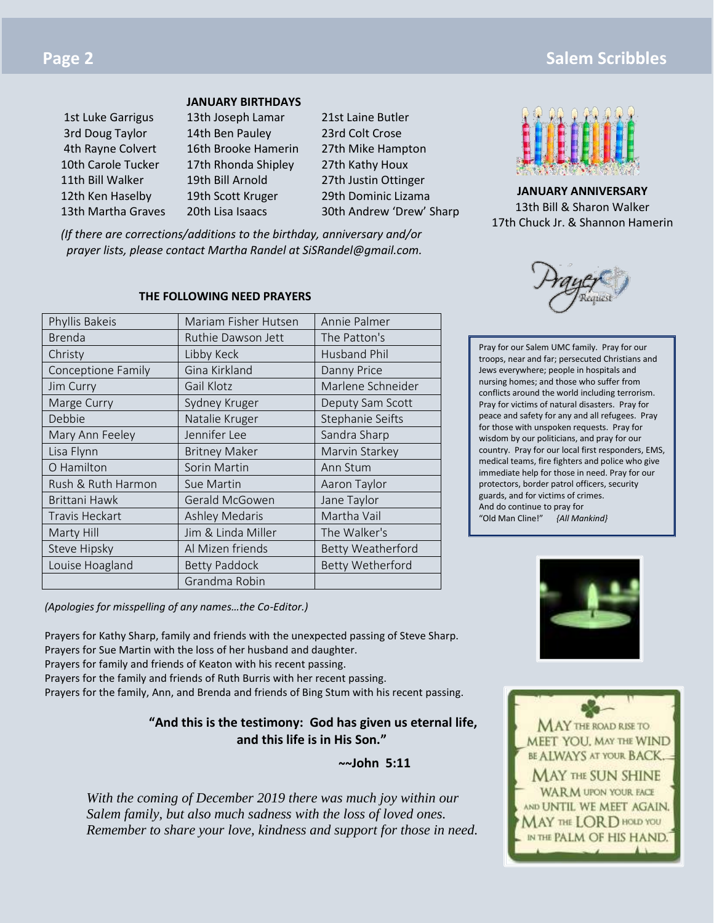| <b>JANUARY BIRTHDAYS</b> |  |  |
|--------------------------|--|--|
|                          |  |  |

| <b>IST LUKE GARTIGUS</b> |  |  |  |  |
|--------------------------|--|--|--|--|
| 3rd Doug Taylor          |  |  |  |  |
| 4th Rayne Colvert        |  |  |  |  |
| 10th Carole Tucker       |  |  |  |  |
| 11th Bill Walker         |  |  |  |  |
| 12th Ken Haselby         |  |  |  |  |
| 13th Martha Graves       |  |  |  |  |

### 13th Joseph Lamar 21st Laine Butler 14th Ben Pauley 23rd Colt Crose 16th Brooke Hamerin 27th Mike Hampton 17th Rhonda Shipley 27th Kathy Houx

19th Bill Arnold 27th Justin Ottinger 19th Scott Kruger 29th Dominic Lizama

20th Lisa Isaacs 30th Andrew 'Drew' Sharp

*(If there are corrections/additions to the birthday, anniversary and/or prayer lists, please contact Martha Randel at SiSRandel@gmail.com.*

### **THE FOLLOWING NEED PRAYERS**

| Phyllis Bakeis        | Mariam Fisher Hutsen  | Annie Palmer             |  |
|-----------------------|-----------------------|--------------------------|--|
| <b>Brenda</b>         | Ruthie Dawson Jett    | The Patton's             |  |
| Christy               | Libby Keck            | Husband Phil             |  |
| Conceptione Family    | Gina Kirkland         | Danny Price              |  |
| Jim Curry             | Gail Klotz            | Marlene Schneider        |  |
| Marge Curry           | Sydney Kruger         | Deputy Sam Scott         |  |
| Debbie                | Natalie Kruger        | Stephanie Seifts         |  |
| Mary Ann Feeley       | Jennifer Lee          | Sandra Sharp             |  |
| Lisa Flynn            | <b>Britney Maker</b>  | Marvin Starkey           |  |
| O Hamilton            | Sorin Martin          | Ann Stum                 |  |
| Rush & Ruth Harmon    | Sue Martin            | Aaron Taylor             |  |
| Brittani Hawk         | Gerald McGowen        | Jane Taylor              |  |
| <b>Travis Heckart</b> | <b>Ashley Medaris</b> | Martha Vail              |  |
| Marty Hill            | Jim & Linda Miller    | The Walker's             |  |
| Steve Hipsky          | Al Mizen friends      | <b>Betty Weatherford</b> |  |
| Louise Hoagland       | <b>Betty Paddock</b>  | Betty Wetherford         |  |
|                       | Grandma Robin         |                          |  |

*(Apologies for misspelling of any names…the Co-Editor.)*

Prayers for Kathy Sharp, family and friends with the unexpected passing of Steve Sharp. Prayers for Sue Martin with the loss of her husband and daughter. Prayers for family and friends of Keaton with his recent passing. Prayers for the family and friends of Ruth Burris with her recent passing. Prayers for the family, Ann, and Brenda and friends of Bing Stum with his recent passing.

### **"And this is the testimony: God has given us eternal life, and this life is in His Son."**

**~~John 5:11**

*With the coming of December 2019 there was much joy within our Salem family, but also much sadness with the loss of loved ones. Remember to share your love, kindness and support for those in need.*



**JANUARY ANNIVERSARY** 13th Bill & Sharon Walker 17th Chuck Jr. & Shannon Hamerin

Pray for our Salem UMC family. Pray for our troops, near and far; persecuted Christians and Jews everywhere; people in hospitals and nursing homes; and those who suffer from conflicts around the world including terrorism. Pray for victims of natural disasters. Pray for peace and safety for any and all refugees. Pray for those with unspoken requests. Pray for wisdom by our politicians, and pray for our country. Pray for our local first responders, EMS, medical teams, fire fighters and police who give immediate help for those in need. Pray for our protectors, border patrol officers, security guards, and for victims of crimes. And do continue to pray for "Old Man Cline!" *{All Mankind}*



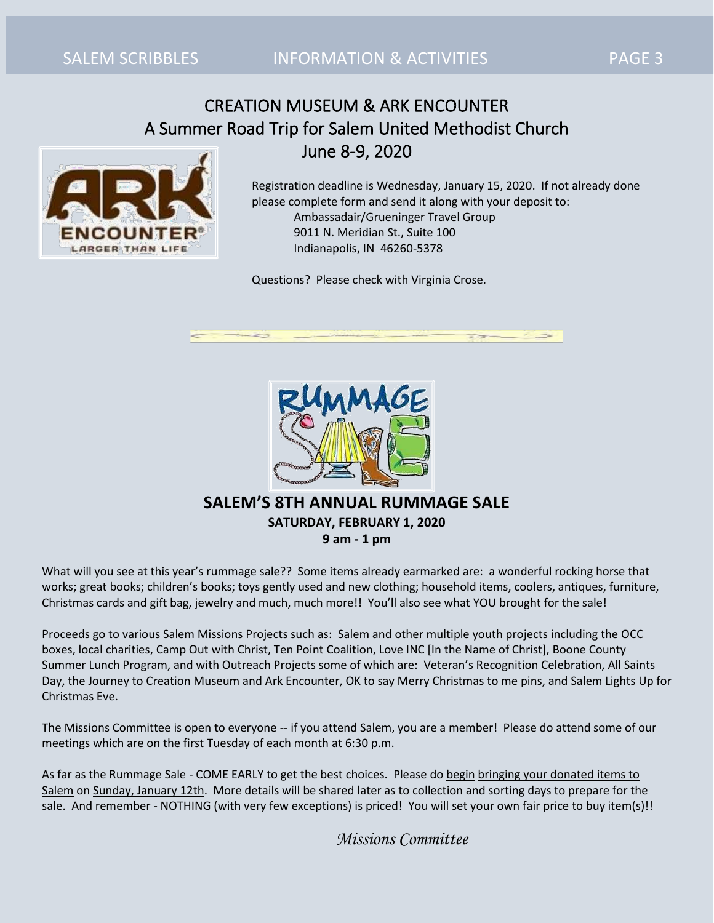# CREATION MUSEUM & ARK ENCOUNTER A Summer Road Trip for Salem United Methodist Church June 8-9, 2020



Registration deadline is Wednesday, January 15, 2020. If not already done please complete form and send it along with your deposit to: Ambassadair/Grueninger Travel Group 9011 N. Meridian St., Suite 100 Indianapolis, IN 46260-5378

Questions? Please check with Virginia Crose.



### **SALEM'S 8TH ANNUAL RUMMAGE SALE SATURDAY, FEBRUARY 1, 2020 9 am - 1 pm**

What will you see at this year's rummage sale?? Some items already earmarked are: a wonderful rocking horse that works; great books; children's books; toys gently used and new clothing; household items, coolers, antiques, furniture, Christmas cards and gift bag, jewelry and much, much more!! You'll also see what YOU brought for the sale!

Proceeds go to various Salem Missions Projects such as: Salem and other multiple youth projects including the OCC boxes, local charities, Camp Out with Christ, Ten Point Coalition, Love INC [In the Name of Christ], Boone County Summer Lunch Program, and with Outreach Projects some of which are: Veteran's Recognition Celebration, All Saints Day, the Journey to Creation Museum and Ark Encounter, OK to say Merry Christmas to me pins, and Salem Lights Up for Christmas Eve.

The Missions Committee is open to everyone -- if you attend Salem, you are a member! Please do attend some of our meetings which are on the first Tuesday of each month at 6:30 p.m.

As far as the Rummage Sale - COME EARLY to get the best choices. Please do begin bringing your donated items to Salem on Sunday, January 12th. More details will be shared later as to collection and sorting days to prepare for the sale. And remember - NOTHING (with very few exceptions) is priced! You will set your own fair price to buy item(s)!!

*Missions Committee*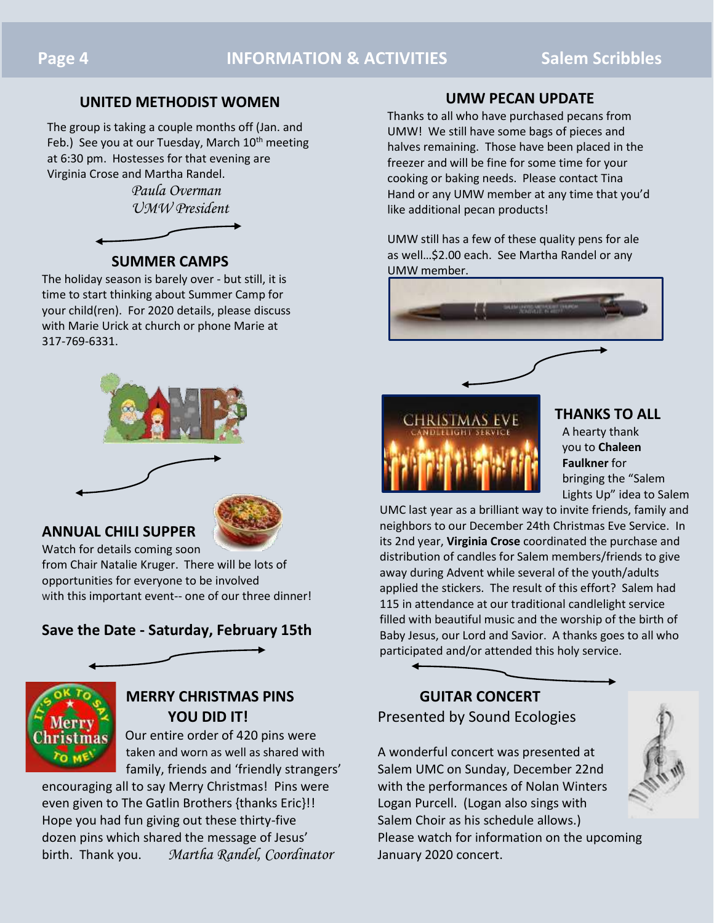### **UNITED METHODIST WOMEN**

The group is taking a couple months off (Jan. and Feb.) See you at our Tuesday, March  $10<sup>th</sup>$  meeting at 6:30 pm. Hostesses for that evening are Virginia Crose and Martha Randel.

> *Paula Overman UMW President*



### **SUMMER CAMPS**

The holiday season is barely over - but still, it is time to start thinking about Summer Camp for your child(ren). For 2020 details, please discuss with Marie Urick at church or phone Marie at 317-769-6331.



### **ANNUAL CHILI SUPPER**



Watch for details coming soon from Chair Natalie Kruger. There will be lots of opportunities for everyone to be involved with this important event-- one of our three dinner!

### **Save the Date - Saturday, February 15th**



# **MERRY CHRISTMAS PINS GUITAR CONCERT**

Our entire order of 420 pins were

encouraging all to say Merry Christmas! Pins were with the performances of Nolan Winters even given to The Gatlin Brothers {thanks Eric}!! Logan Purcell. (Logan also sings with Hope you had fun giving out these thirty-five Salem Choir as his schedule allows.) dozen pins which shared the message of Jesus' Please watch for information on the upcoming birth. Thank you. *Martha Randel, Coordinator* January 2020 concert.

### **UMW PECAN UPDATE**

Thanks to all who have purchased pecans from UMW! We still have some bags of pieces and halves remaining. Those have been placed in the freezer and will be fine for some time for your cooking or baking needs. Please contact Tina Hand or any UMW member at any time that you'd like additional pecan products!

UMW still has a few of these quality pens for ale as well…\$2.00 each. See Martha Randel or any [UMW member.](https://www.faithclipart.com/fca/affiliate.do?id=58&coupon=christmas) 





### **THANKS TO ALL**

 A hearty thank you to **Chaleen Faulkner** for bringing the "Salem Lights Up" idea to Salem

UMC last year as a brilliant way to invite friends, family and neighbors to our December 24th Christmas Eve Service. In its 2nd year, **Virginia Crose** coordinated the purchase and distribution of candles for Salem members/friends to give away during Advent while several of the youth/adults applied the stickers. The result of this effort? Salem had 115 in attendance at our traditional candlelight service filled with beautiful music and the worship of the birth of Baby Jesus, our Lord and Savior. A thanks goes to all who participated and/or attended this holy service.

# **YOU DID IT!** Presented by Sound Ecologies

taken and worn as well as shared with A wonderful concert was presented at family, friends and 'friendly strangers' Salem UMC on Sunday, December 22nd

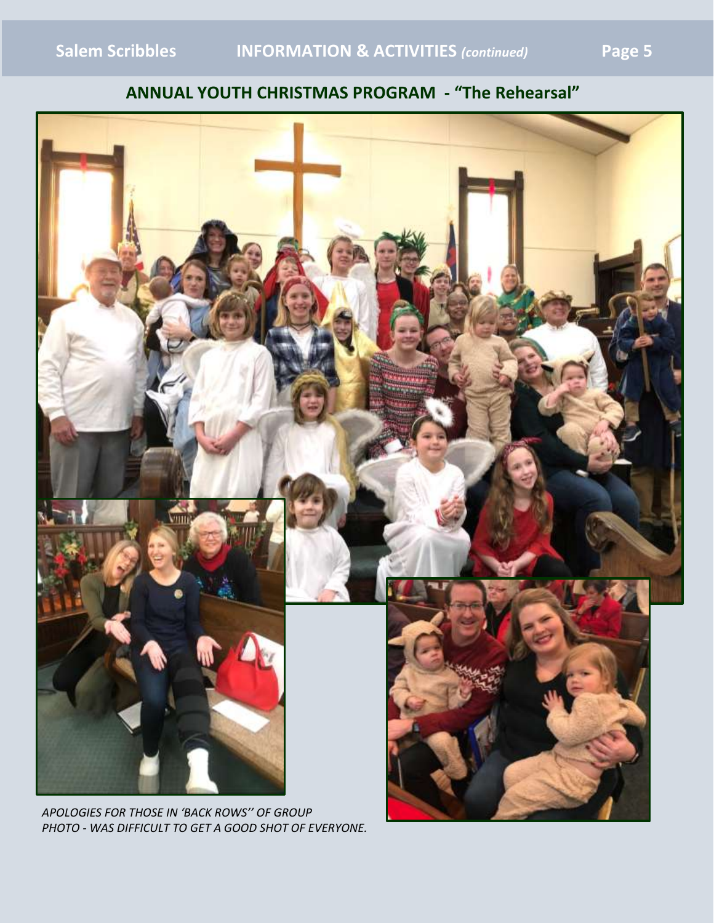# **ANNUAL YOUTH CHRISTMAS PROGRAM - "The Rehearsal"**



*APOLOGIES FOR THOSE IN 'BACK ROWS'' OF GROUP PHOTO - WAS DIFFICULT TO GET A GOOD SHOT OF EVERYONE.*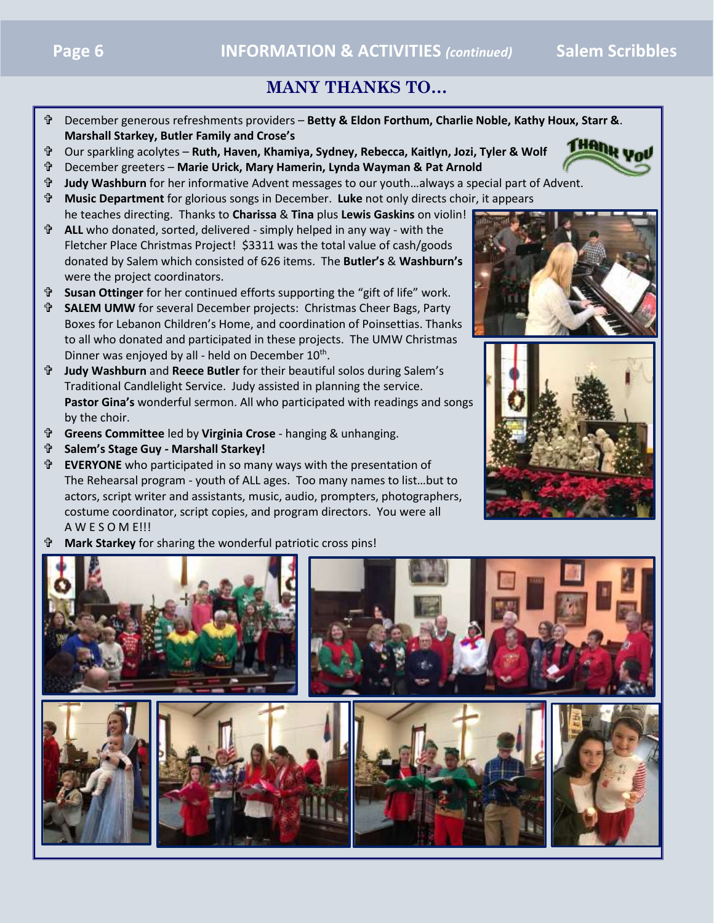## **MANY THANKS TO…**

- December generous refreshments providers **Betty & Eldon Forthum, Charlie Noble, Kathy Houx, Starr &**. **Marshall Starkey, Butler Family and Crose's**
- Our sparkling acolytes **Ruth, Haven, Khamiya, Sydney, Rebecca, Kaitlyn, Jozi, Tyler & Wolf**
- December greeters **Marie Urick, Mary Hamerin, Lynda Wayman & Pat Arnold**
- **Judy Washburn** for her informative Advent messages to our youth…always a special part of Advent.
- **Music Department** for glorious songs in December. **Luke** not only directs choir, it appears he teaches directing. Thanks to **Charissa** & **Tina** plus **Lewis Gaskins** on violin!
- **ALL** who donated, sorted, delivered simply helped in any way with the Fletcher Place Christmas Project! \$3311 was the total value of cash/goods donated by Salem which consisted of 626 items. The **Butler's** & **Washburn's** were the project coordinators.
- **Susan Ottinger** for her continued efforts supporting the "gift of life" work.
- **SALEM UMW** for several December projects: Christmas Cheer Bags, Party Boxes for Lebanon Children's Home, and coordination of Poinsettias. Thanks to all who donated and participated in these projects. The UMW Christmas Dinner was enjoyed by all - held on December 10<sup>th</sup>.
- **Judy Washburn** and **Reece Butler** for their beautiful solos during Salem's Traditional Candlelight Service. Judy assisted in planning the service. **Pastor Gina's** wonderful sermon. All who participated with readings and songs by the choir.
- **Greens Committee** led by **Virginia Crose** hanging & unhanging.
- **Salem's Stage Guy - Marshall Starkey!**
- **EVERYONE** who participated in so many ways with the presentation of The Rehearsal program - youth of ALL ages. Too many names to list…but to actors, script writer and assistants, music, audio, prompters, photographers, costume coordinator, script copies, and program directors. You were all A W E S O M E!!!
- **Mark Starkey** for sharing the wonderful patriotic cross pins!







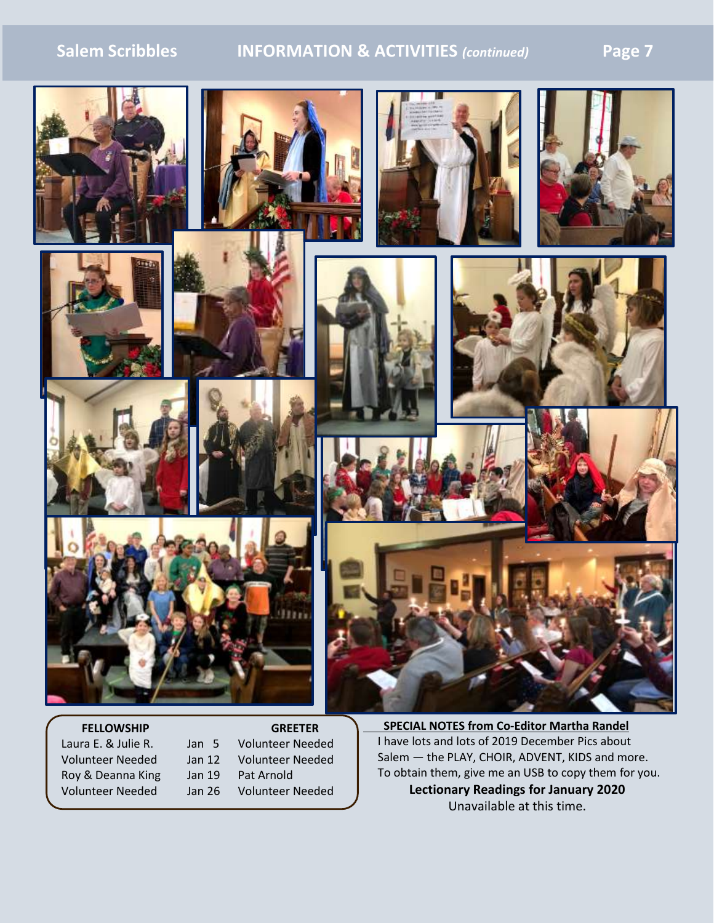## **Salem Scribbles INFORMATION & ACTIVITIES** *(continued)* **Page 7**



Laura E. & Julie R. Jan 5 Volunteer Needed Volunteer Needed Jan 12 Volunteer Needed Roy & Deanna King Jan 19 Pat Arnold Volunteer Needed Jan 26 Volunteer Needed

I have lots and lots of 2019 December Pics about Salem ― the PLAY, CHOIR, ADVENT, KIDS and more. To obtain them, give me an USB to copy them for you. **Lectionary Readings for January 2020** Unavailable at this time.